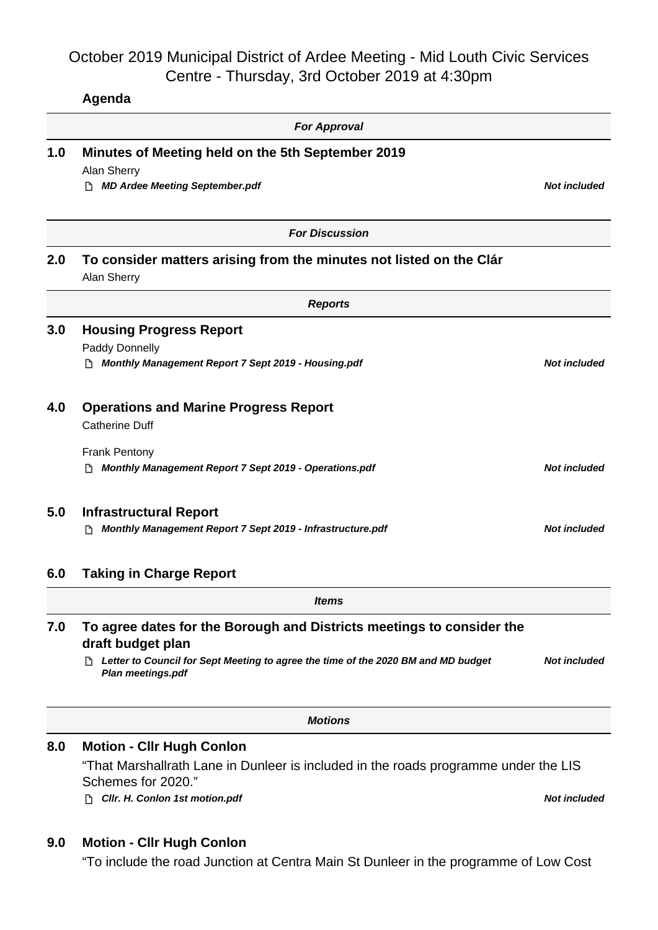## October 2019 Municipal District of Ardee Meeting - Mid Louth Civic Services Centre - Thursday, 3rd October 2019 at 4:30pm

**Agenda**

|     | <b>For Approval</b>                                                                                            |                     |
|-----|----------------------------------------------------------------------------------------------------------------|---------------------|
| 1.0 | Minutes of Meeting held on the 5th September 2019<br>Alan Sherry<br><b>MD Ardee Meeting September.pdf</b><br>D | <b>Not included</b> |
|     |                                                                                                                |                     |
|     | <b>For Discussion</b>                                                                                          |                     |
| 2.0 | To consider matters arising from the minutes not listed on the Clár<br>Alan Sherry                             |                     |
|     | <b>Reports</b>                                                                                                 |                     |
| 3.0 | <b>Housing Progress Report</b>                                                                                 |                     |
|     | Paddy Donnelly<br>Monthly Management Report 7 Sept 2019 - Housing.pdf                                          | <b>Not included</b> |
| 4.0 | <b>Operations and Marine Progress Report</b><br><b>Catherine Duff</b>                                          |                     |
|     | <b>Frank Pentony</b><br>Monthly Management Report 7 Sept 2019 - Operations.pdf                                 | <b>Not included</b> |
| 5.0 | <b>Infrastructural Report</b><br>Monthly Management Report 7 Sept 2019 - Infrastructure.pdf<br>רו              | <b>Not included</b> |
| 6.0 | <b>Taking in Charge Report</b>                                                                                 |                     |
|     | <b>Items</b>                                                                                                   |                     |
| 7.0 | To agree dates for the Borough and Districts meetings to consider the<br>draft budget plan                     |                     |
|     | Letter to Council for Sept Meeting to agree the time of the 2020 BM and MD budget<br><b>Plan meetings.pdf</b>  | <b>Not included</b> |
|     | <b>Motions</b>                                                                                                 |                     |
| 8.0 | <b>Motion - Cllr Hugh Conlon</b>                                                                               |                     |
|     | "That Marshallrath Lane in Dunleer is included in the roads programme under the LIS<br>Schemes for 2020."      |                     |
|     | Cllr. H. Conlon 1st motion.pdf<br>n                                                                            | <b>Not included</b> |
|     |                                                                                                                |                     |

## **9.0 Motion - Cllr Hugh Conlon**

"To include the road Junction at Centra Main St Dunleer in the programme of Low Cost